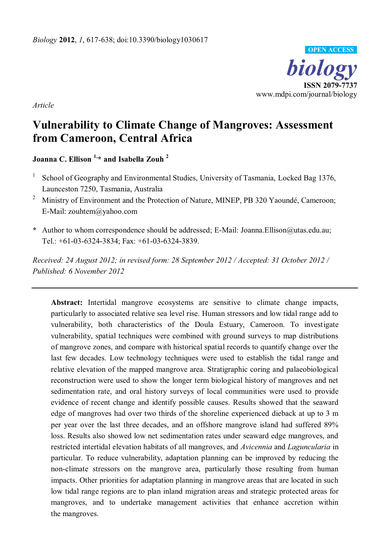

*Article* 

# **Vulnerability to Climate Change of Mangroves: Assessment from Cameroon, Central Africa**

**Joanna C. Ellison 1,\* and Isabella Zouh 2**

- 1 School of Geography and Environmental Studies, University of Tasmania, Locked Bag 1376, Launceston 7250, Tasmania, Australia
- <sup>2</sup> Ministry of Environment and the Protection of Nature, MINEP, PB 320 Yaoundé, Cameroon; E-Mail: zouhtem@yahoo.com
- **\*** Author to whom correspondence should be addressed; E-Mail: Joanna.Ellison@utas.edu.au; Tel.: +61-03-6324-3834; Fax: +61-03-6324-3839.

*Received: 24 August 2012; in revised form: 28 September 2012 / Accepted: 31 October 2012 / Published: 6 November 2012* 

**Abstract:** Intertidal mangrove ecosystems are sensitive to climate change impacts, particularly to associated relative sea level rise. Human stressors and low tidal range add to vulnerability, both characteristics of the Doula Estuary, Cameroon. To investigate vulnerability, spatial techniques were combined with ground surveys to map distributions of mangrove zones, and compare with historical spatial records to quantify change over the last few decades. Low technology techniques were used to establish the tidal range and relative elevation of the mapped mangrove area. Stratigraphic coring and palaeobiological reconstruction were used to show the longer term biological history of mangroves and net sedimentation rate, and oral history surveys of local communities were used to provide evidence of recent change and identify possible causes. Results showed that the seaward edge of mangroves had over two thirds of the shoreline experienced dieback at up to 3 m per year over the last three decades, and an offshore mangrove island had suffered 89% loss. Results also showed low net sedimentation rates under seaward edge mangroves, and restricted intertidal elevation habitats of all mangroves, and *Avicennia* and *Laguncularia* in particular. To reduce vulnerability, adaptation planning can be improved by reducing the non-climate stressors on the mangrove area, particularly those resulting from human impacts. Other priorities for adaptation planning in mangrove areas that are located in such low tidal range regions are to plan inland migration areas and strategic protected areas for mangroves, and to undertake management activities that enhance accretion within the mangroves.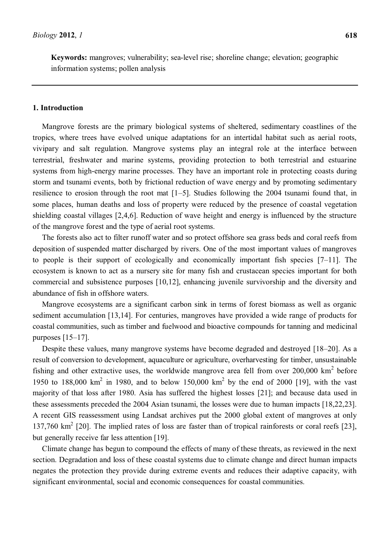**Keywords:** mangroves; vulnerability; sea-level rise; shoreline change; elevation; geographic information systems; pollen analysis

# **1. Introduction**

Mangrove forests are the primary biological systems of sheltered, sedimentary coastlines of the tropics, where trees have evolved unique adaptations for an intertidal habitat such as aerial roots, vivipary and salt regulation. Mangrove systems play an integral role at the interface between terrestrial, freshwater and marine systems, providing protection to both terrestrial and estuarine systems from high-energy marine processes. They have an important role in protecting coasts during storm and tsunami events, both by frictional reduction of wave energy and by promoting sedimentary resilience to erosion through the root mat  $[1-5]$ . Studies following the 2004 tsunami found that, in some places, human deaths and loss of property were reduced by the presence of coastal vegetation shielding coastal villages [2,4,6]. Reduction of wave height and energy is influenced by the structure of the mangrove forest and the type of aerial root systems.

The forests also act to filter runoff water and so protect offshore sea grass beds and coral reefs from deposition of suspended matter discharged by rivers. One of the most important values of mangroves to people is their support of ecologically and economically important fish species  $[7-11]$ . The ecosystem is known to act as a nursery site for many fish and crustacean species important for both commercial and subsistence purposes [10,12], enhancing juvenile survivorship and the diversity and abundance of fish in offshore waters.

Mangrove ecosystems are a significant carbon sink in terms of forest biomass as well as organic sediment accumulation [13,14]. For centuries, mangroves have provided a wide range of products for coastal communities, such as timber and fuelwood and bioactive compounds for tanning and medicinal purposes  $[15-17]$ .

Despite these values, many mangrove systems have become degraded and destroyed [18–20]. As a result of conversion to development, aquaculture or agriculture, overharvesting for timber, unsustainable fishing and other extractive uses, the worldwide mangrove area fell from over  $200,000 \text{ km}^2$  before 1950 to 188,000  $km^2$  in 1980, and to below 150,000  $km^2$  by the end of 2000 [19], with the vast majority of that loss after 1980. Asia has suffered the highest losses [21]; and because data used in these assessments preceded the 2004 Asian tsunami, the losses were due to human impacts [18,22,23]. A recent GIS reassessment using Landsat archives put the 2000 global extent of mangroves at only 137,760 km<sup>2</sup> [20]. The implied rates of loss are faster than of tropical rainforests or coral reefs [23], but generally receive far less attention [19].

Climate change has begun to compound the effects of many of these threats, as reviewed in the next section. Degradation and loss of these coastal systems due to climate change and direct human impacts negates the protection they provide during extreme events and reduces their adaptive capacity, with significant environmental, social and economic consequences for coastal communities.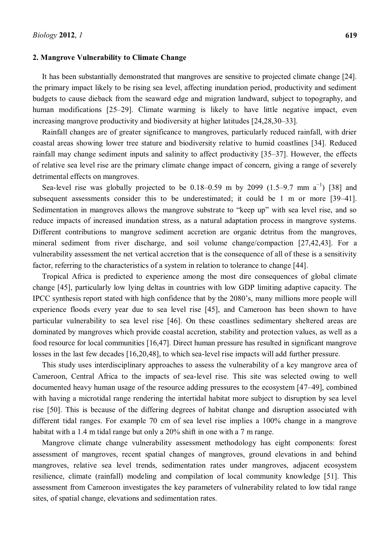#### **2. Mangrove Vulnerability to Climate Change**

It has been substantially demonstrated that mangroves are sensitive to projected climate change [24]. the primary impact likely to be rising sea level, affecting inundation period, productivity and sediment budgets to cause dieback from the seaward edge and migration landward, subject to topography, and human modifications [25–29]. Climate warming is likely to have little negative impact, even increasing mangrove productivity and biodiversity at higher latitudes [24,28,30–33].

Rainfall changes are of greater significance to mangroves, particularly reduced rainfall, with drier coastal areas showing lower tree stature and biodiversity relative to humid coastlines [34]. Reduced rainfall may change sediment inputs and salinity to affect productivity [35–37]. However, the effects of relative sea level rise are the primary climate change impact of concern, giving a range of severely detrimental effects on mangroves.

Sea-level rise was globally projected to be  $0.18-0.59$  m by 2099 (1.5-9.7 mm a<sup>-1</sup>) [38] and subsequent assessments consider this to be underestimated; it could be 1 m or more [39–41]. Sedimentation in mangroves allows the mangrove substrate to "keep up" with sea level rise, and so reduce impacts of increased inundation stress, as a natural adaptation process in mangrove systems. Different contributions to mangrove sediment accretion are organic detritus from the mangroves, mineral sediment from river discharge, and soil volume change/compaction [27,42,43]. For a vulnerability assessment the net vertical accretion that is the consequence of all of these is a sensitivity factor, referring to the characteristics of a system in relation to tolerance to change [44].

Tropical Africa is predicted to experience among the most dire consequences of global climate change [45], particularly low lying deltas in countries with low GDP limiting adaptive capacity. The IPCC synthesis report stated with high confidence that by the  $2080$ 's, many millions more people will experience floods every year due to sea level rise [45], and Cameroon has been shown to have particular vulnerability to sea level rise [46]. On these coastlines sedimentary sheltered areas are dominated by mangroves which provide coastal accretion, stability and protection values, as well as a food resource for local communities [16,47]. Direct human pressure has resulted in significant mangrove losses in the last few decades [16,20,48], to which sea-level rise impacts will add further pressure.

This study uses interdisciplinary approaches to assess the vulnerability of a key mangrove area of Cameroon, Central Africa to the impacts of sea-level rise. This site was selected owing to well documented heavy human usage of the resource adding pressures to the ecosystem [47-49], combined with having a microtidal range rendering the intertidal habitat more subject to disruption by sea level rise [50]. This is because of the differing degrees of habitat change and disruption associated with different tidal ranges. For example 70 cm of sea level rise implies a 100% change in a mangrove habitat with a 1.4 m tidal range but only a 20% shift in one with a 7 m range.

Mangrove climate change vulnerability assessment methodology has eight components: forest assessment of mangroves, recent spatial changes of mangroves, ground elevations in and behind mangroves, relative sea level trends, sedimentation rates under mangroves, adjacent ecosystem resilience, climate (rainfall) modeling and compilation of local community knowledge [51]. This assessment from Cameroon investigates the key parameters of vulnerability related to low tidal range sites, of spatial change, elevations and sedimentation rates.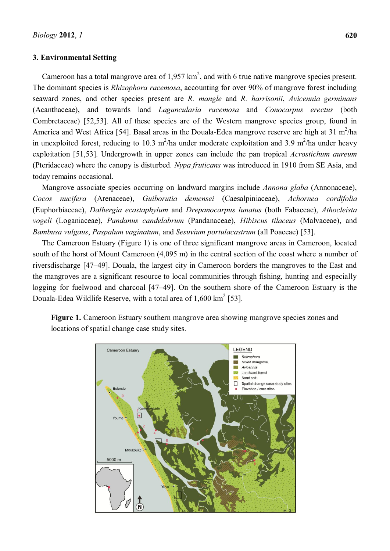## **3. Environmental Setting**

Cameroon has a total mangrove area of  $1,957 \text{ km}^2$ , and with 6 true native mangrove species present. The dominant species is *Rhizophora racemosa*, accounting for over 90% of mangrove forest including seaward zones, and other species present are *R. mangle* and *R. harrisonii*, *Avicennia germinans* (Acanthaceae), and towards land *Laguncularia racemosa* and *Conocarpus erectus* (both Combretaceae) [52,53]. All of these species are of the Western mangrove species group, found in America and West Africa [54]. Basal areas in the Douala-Edea mangrove reserve are high at  $31 \text{ m}^2/\text{ha}$ in unexploited forest, reducing to 10.3 m<sup>2</sup>/ha under moderate exploitation and 3.9 m<sup>2</sup>/ha under heavy exploitation [51,53]. Undergrowth in upper zones can include the pan tropical *Acrostichum aureum* (Pteridaceae) where the canopy is disturbed. *Nypa fruticans* was introduced in 1910 from SE Asia, and today remains occasional.

Mangrove associate species occurring on landward margins include *Annona glaba* (Annonaceae), *Cocos nucifera* (Arenaceae), *Guiborutia demensei* (Caesalpiniaceae), *Achornea cordifolia* (Euphorbiaceae), *Dalbergia ecastaphylum* and *Drepanocarpus lunatus* (both Fabaceae), *Athocleista vogeli* (Loganiaceae), *Pandanus candelabrum* (Pandanaceae), *Hibiscus tilaceus* (Malvaceae), and *Bambusa vulgaus*, *Paspalum vaginatum*, and *Sesuvium portulacastrum* (all Poaceae) [53].

The Cameroon Estuary (Figure 1) is one of three significant mangrove areas in Cameroon, located south of the horst of Mount Cameroon (4,095 m) in the central section of the coast where a number of riversdischarge [47-49]. Douala, the largest city in Cameroon borders the mangroves to the East and the mangroves are a significant resource to local communities through fishing, hunting and especially logging for fuelwood and charcoal [47-49]. On the southern shore of the Cameroon Estuary is the Douala-Edea Wildlife Reserve, with a total area of  $1,600 \text{ km}^2$  [53].



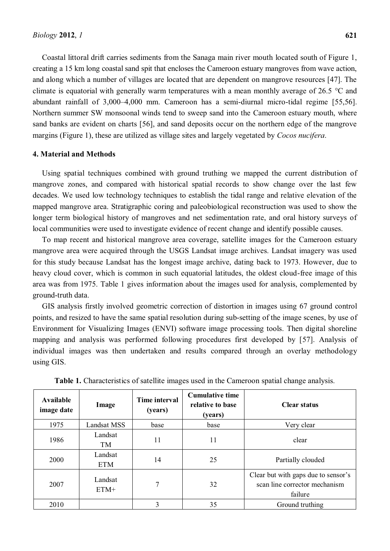Coastal littoral drift carries sediments from the Sanaga main river mouth located south of Figure 1, creating a 15 km long coastal sand spit that encloses the Cameroon estuary mangroves from wave action, and along which a number of villages are located that are dependent on mangrove resources [47]. The climate is equatorial with generally warm temperatures with a mean monthly average of 26.5 °C and abundant rainfall of  $3,000-4,000$  mm. Cameroon has a semi-diurnal micro-tidal regime [55,56]. Northern summer SW monsoonal winds tend to sweep sand into the Cameroon estuary mouth, where sand banks are evident on charts [56], and sand deposits occur on the northern edge of the mangrove margins (Figure 1), these are utilized as village sites and largely vegetated by *Cocos nucifera*.

# **4. Material and Methods**

Using spatial techniques combined with ground truthing we mapped the current distribution of mangrove zones, and compared with historical spatial records to show change over the last few decades. We used low technology techniques to establish the tidal range and relative elevation of the mapped mangrove area. Stratigraphic coring and paleobiological reconstruction was used to show the longer term biological history of mangroves and net sedimentation rate, and oral history surveys of local communities were used to investigate evidence of recent change and identify possible causes.

To map recent and historical mangrove area coverage, satellite images for the Cameroon estuary mangrove area were acquired through the USGS Landsat image archives. Landsat imagery was used for this study because Landsat has the longest image archive, dating back to 1973. However, due to heavy cloud cover, which is common in such equatorial latitudes, the oldest cloud-free image of this area was from 1975. Table 1 gives information about the images used for analysis, complemented by ground-truth data.

GIS analysis firstly involved geometric correction of distortion in images using 67 ground control points, and resized to have the same spatial resolution during sub-setting of the image scenes, by use of Environment for Visualizing Images (ENVI) software image processing tools. Then digital shoreline mapping and analysis was performed following procedures first developed by [57]. Analysis of individual images was then undertaken and results compared through an overlay methodology using GIS.

| Available<br>image date | Image                 | Time interval<br>(years) | <b>Cumulative time</b><br>relative to base<br>(years) | <b>Clear status</b>                                                             |  |
|-------------------------|-----------------------|--------------------------|-------------------------------------------------------|---------------------------------------------------------------------------------|--|
| 1975                    | <b>Landsat MSS</b>    | base                     | base                                                  | Very clear                                                                      |  |
| 1986                    | Landsat<br>TM         | 11                       | 11                                                    | clear                                                                           |  |
| 2000                    | Landsat<br><b>ETM</b> | 14                       | 25                                                    | Partially clouded                                                               |  |
| 2007                    | Landsat<br>$ETM+$     | 7                        | 32                                                    | Clear but with gaps due to sensor's<br>scan line corrector mechanism<br>failure |  |
| 2010                    |                       | 3                        | 35                                                    | Ground truthing                                                                 |  |

**Table 1.** Characteristics of satellite images used in the Cameroon spatial change analysis.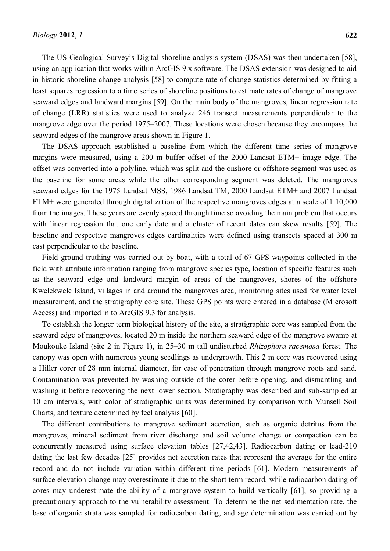The US Geological Survey's Digital shoreline analysis system (DSAS) was then undertaken [58], using an application that works within ArcGIS 9.x software. The DSAS extension was designed to aid in historic shoreline change analysis [58] to compute rate-of-change statistics determined by fitting a least squares regression to a time series of shoreline positions to estimate rates of change of mangrove seaward edges and landward margins [59]. On the main body of the mangroves, linear regression rate of change (LRR) statistics were used to analyze 246 transect measurements perpendicular to the mangrove edge over the period 1975–2007. These locations were chosen because they encompass the seaward edges of the mangrove areas shown in Figure 1.

The DSAS approach established a baseline from which the different time series of mangrove margins were measured, using a 200 m buffer offset of the 2000 Landsat ETM+ image edge. The offset was converted into a polyline, which was split and the onshore or offshore segment was used as the baseline for some areas while the other corresponding segment was deleted. The mangroves seaward edges for the 1975 Landsat MSS, 1986 Landsat TM, 2000 Landsat ETM+ and 2007 Landsat ETM+ were generated through digitalization of the respective mangroves edges at a scale of 1:10,000 from the images. These years are evenly spaced through time so avoiding the main problem that occurs with linear regression that one early date and a cluster of recent dates can skew results [59]. The baseline and respective mangroves edges cardinalities were defined using transects spaced at 300 m cast perpendicular to the baseline.

Field ground truthing was carried out by boat, with a total of 67 GPS waypoints collected in the field with attribute information ranging from mangrove species type, location of specific features such as the seaward edge and landward margin of areas of the mangroves, shores of the offshore Kwelekwele Island, villages in and around the mangroves area, monitoring sites used for water level measurement, and the stratigraphy core site. These GPS points were entered in a database (Microsoft Access) and imported in to ArcGIS 9.3 for analysis.

To establish the longer term biological history of the site, a stratigraphic core was sampled from the seaward edge of mangroves, located 20 m inside the northern seaward edge of the mangrove swamp at Moukouke Island (site 2 in Figure 1), in 25-30 m tall undisturbed *Rhizophora racemosa* forest. The canopy was open with numerous young seedlings as undergrowth. This 2 m core was recovered using a Hiller corer of 28 mm internal diameter, for ease of penetration through mangrove roots and sand. Contamination was prevented by washing outside of the corer before opening, and dismantling and washing it before recovering the next lower section. Stratigraphy was described and sub-sampled at 10 cm intervals, with color of stratigraphic units was determined by comparison with Munsell Soil Charts, and texture determined by feel analysis [60].

The different contributions to mangrove sediment accretion, such as organic detritus from the mangroves, mineral sediment from river discharge and soil volume change or compaction can be concurrently measured using surface elevation tables [27,42,43]. Radiocarbon dating or lead-210 dating the last few decades [25] provides net accretion rates that represent the average for the entire record and do not include variation within different time periods [61]. Modern measurements of surface elevation change may overestimate it due to the short term record, while radiocarbon dating of cores may underestimate the ability of a mangrove system to build vertically [61], so providing a precautionary approach to the vulnerability assessment. To determine the net sedimentation rate, the base of organic strata was sampled for radiocarbon dating, and age determination was carried out by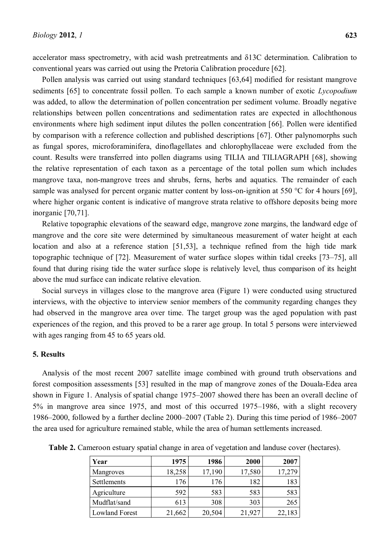accelerator mass spectrometry, with acid wash pretreatments and  $\delta$ 13C determination. Calibration to conventional years was carried out using the Pretoria Calibration procedure [62].

Pollen analysis was carried out using standard techniques [63,64] modified for resistant mangrove sediments [65] to concentrate fossil pollen. To each sample a known number of exotic *Lycopodium* was added, to allow the determination of pollen concentration per sediment volume. Broadly negative relationships between pollen concentrations and sedimentation rates are expected in allochthonous environments where high sediment input dilutes the pollen concentration [66]. Pollen were identified by comparison with a reference collection and published descriptions [67]. Other palynomorphs such as fungal spores, microforaminifera, dinoflagellates and chlorophyllaceae were excluded from the count. Results were transferred into pollen diagrams using TILIA and TILIAGRAPH [68], showing the relative representation of each taxon as a percentage of the total pollen sum which includes mangrove taxa, non-mangrove trees and shrubs, ferns, herbs and aquatics. The remainder of each sample was analysed for percent organic matter content by loss-on-ignition at 550 °C for 4 hours [69], where higher organic content is indicative of mangrove strata relative to offshore deposits being more inorganic [70,71].

Relative topographic elevations of the seaward edge, mangrove zone margins, the landward edge of mangrove and the core site were determined by simultaneous measurement of water height at each location and also at a reference station [51,53], a technique refined from the high tide mark topographic technique of  $[72]$ . Measurement of water surface slopes within tidal creeks  $[73-75]$ , all found that during rising tide the water surface slope is relatively level, thus comparison of its height above the mud surface can indicate relative elevation.

Social surveys in villages close to the mangrove area (Figure 1) were conducted using structured interviews, with the objective to interview senior members of the community regarding changes they had observed in the mangrove area over time. The target group was the aged population with past experiences of the region, and this proved to be a rarer age group. In total 5 persons were interviewed with ages ranging from 45 to 65 years old.

## **5. Results**

Analysis of the most recent 2007 satellite image combined with ground truth observations and forest composition assessments [53] resulted in the map of mangrove zones of the Douala-Edea area shown in Figure 1. Analysis of spatial change 1975–2007 showed there has been an overall decline of  $5\%$  in mangrove area since 1975, and most of this occurred 1975–1986, with a slight recovery 1986 $-2000$ , followed by a further decline 2000 $-2007$  (Table 2). During this time period of 1986 $-2007$ the area used for agriculture remained stable, while the area of human settlements increased.

| Year                  | 1975   | 1986   | 2000   | 2007   |
|-----------------------|--------|--------|--------|--------|
| Mangroves             | 18,258 | 17,190 | 17,580 | 17,279 |
| Settlements           | 176    | 176    | 182    | 183    |
| Agriculture           | 592    | 583    | 583    | 583    |
| Mudflat/sand          | 613    | 308    | 303    | 265    |
| <b>Lowland Forest</b> | 21,662 | 20,504 | 21,927 | 22,183 |

**Table 2.** Cameroon estuary spatial change in area of vegetation and landuse cover (hectares).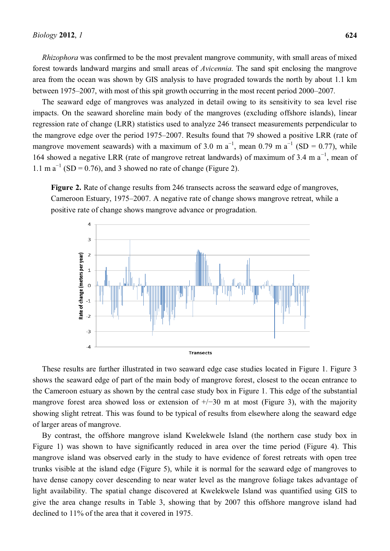*Rhizophora* was confirmed to be the most prevalent mangrove community, with small areas of mixed forest towards landward margins and small areas of *Avicennia*. The sand spit enclosing the mangrove area from the ocean was shown by GIS analysis to have prograded towards the north by about 1.1 km between 1975–2007, with most of this spit growth occurring in the most recent period 2000–2007.

The seaward edge of mangroves was analyzed in detail owing to its sensitivity to sea level rise impacts. On the seaward shoreline main body of the mangroves (excluding offshore islands), linear regression rate of change (LRR) statistics used to analyze 246 transect measurements perpendicular to the mangrove edge over the period 1975–2007. Results found that 79 showed a positive LRR (rate of mangrove movement seawards) with a maximum of 3.0 m  $a^{-1}$ , mean 0.79 m  $a^{-1}$  (SD = 0.77), while 164 showed a negative LRR (rate of mangrove retreat landwards) of maximum of 3.4 m  $a^{-1}$ , mean of 1.1 m  $a^{-1}$  (SD = 0.76), and 3 showed no rate of change (Figure 2).

**Figure 2.** Rate of change results from 246 transects across the seaward edge of mangroves, Cameroon Estuary, 1975–2007. A negative rate of change shows mangrove retreat, while a positive rate of change shows mangrove advance or progradation.



These results are further illustrated in two seaward edge case studies located in Figure 1. Figure 3 shows the seaward edge of part of the main body of mangrove forest, closest to the ocean entrance to the Cameroon estuary as shown by the central case study box in Figure 1. This edge of the substantial mangrove forest area showed loss or extension of  $\pm$ / $\pm$ 30 m at most (Figure 3), with the majority showing slight retreat. This was found to be typical of results from elsewhere along the seaward edge of larger areas of mangrove.

By contrast, the offshore mangrove island Kwelekwele Island (the northern case study box in Figure 1) was shown to have significantly reduced in area over the time period (Figure 4). This mangrove island was observed early in the study to have evidence of forest retreats with open tree trunks visible at the island edge (Figure 5), while it is normal for the seaward edge of mangroves to have dense canopy cover descending to near water level as the mangrove foliage takes advantage of light availability. The spatial change discovered at Kwelekwele Island was quantified using GIS to give the area change results in Table 3, showing that by 2007 this offshore mangrove island had declined to 11% of the area that it covered in 1975.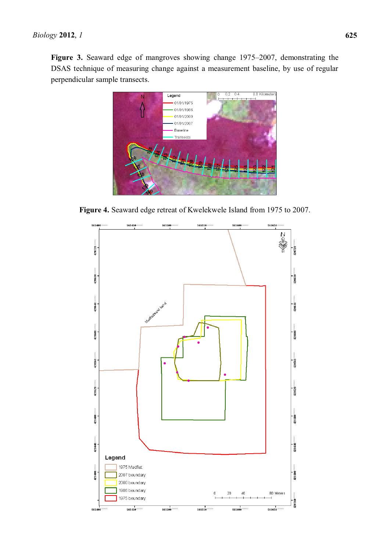**Figure 3.** Seaward edge of mangroves showing change 1975–2007, demonstrating the DSAS technique of measuring change against a measurement baseline, by use of regular perpendicular sample transects.



**Figure 4.** Seaward edge retreat of Kwelekwele Island from 1975 to 2007.

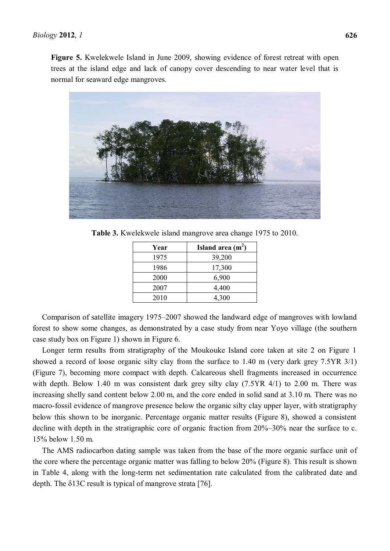**Figure 5.** Kwelekwele Island in June 2009, showing evidence of forest retreat with open trees at the island edge and lack of canopy cover descending to near water level that is normal for seaward edge mangroves.



**Table 3.** Kwelekwele island mangrove area change 1975 to 2010.

| Year | Island area $(m2)$ |
|------|--------------------|
| 1975 | 39,200             |
| 1986 | 17,300             |
| 2000 | 6,900              |
| 2007 | 4,400              |
| 2010 | 4,300              |

Comparison of satellite imagery 1975–2007 showed the landward edge of mangroves with lowland forest to show some changes, as demonstrated by a case study from near Yoyo village (the southern case study box on Figure 1) shown in Figure 6.

Longer term results from stratigraphy of the Moukouke Island core taken at site 2 on Figure 1 showed a record of loose organic silty clay from the surface to 1.40 m (very dark grey 7.5YR 3/1) (Figure 7), becoming more compact with depth. Calcareous shell fragments increased in occurrence with depth. Below 1.40 m was consistent dark grey silty clay (7.5YR 4/1) to 2.00 m. There was increasing shelly sand content below 2.00 m, and the core ended in solid sand at 3.10 m. There was no macro-fossil evidence of mangrove presence below the organic silty clay upper layer, with stratigraphy below this shown to be inorganic. Percentage organic matter results (Figure 8), showed a consistent decline with depth in the stratigraphic core of organic fraction from  $20\% - 30\%$  near the surface to c. 15% below 1.50 m.

The AMS radiocarbon dating sample was taken from the base of the more organic surface unit of the core where the percentage organic matter was falling to below 20% (Figure 8). This result is shown in Table 4, along with the long-term net sedimentation rate calculated from the calibrated date and depth. The  $\delta$ 13C result is typical of mangrove strata [76].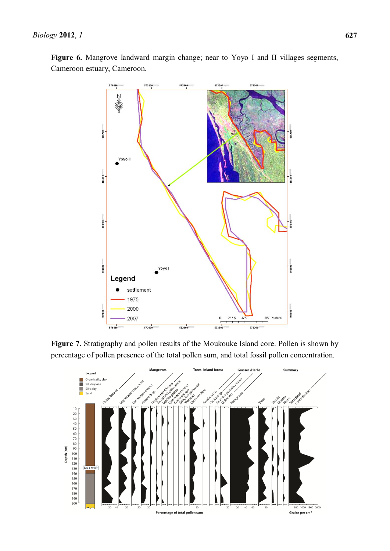$571400$ 

406200

405300

404400

403500

402600

 $rac{1}{571406}$ 

Legend

settlement 1975 2000

 $572100$ 

2007

€∉

Yoyo II



237 5  $475$ 

 $\mathbf{0}$ 

57356

103500

402600

950 Meters

 $rac{1}{574200}$ 

Figure 6. Mangrove landward margin change; near to Yoyo I and II villages segments, Cameroon estuary, Cameroon.

**Figure 7.** Stratigraphy and pollen results of the Moukouke Island core. Pollen is shown by percentage of pollen presence of the total pollen sum, and total fossil pollen concentration.

572800

Yoyo I

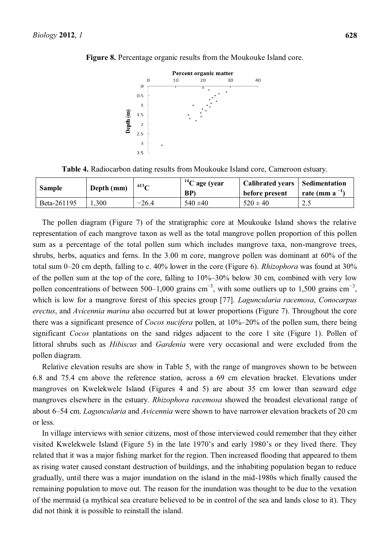

**Figure 8.** Percentage organic results from the Moukouke Island core.

**Table 4.** Radiocarbon dating results from Moukouke Island core, Cameroon estuary.

| <b>Sample</b> | Depth (mm) | $\delta$ 13 $\sim$ | $^{14}$ C age (year<br>BP) | <b>Calibrated years</b><br>before present | Sedimentation<br>rate (mm a |
|---------------|------------|--------------------|----------------------------|-------------------------------------------|-----------------------------|
| Beta-261195   | 0.300      | $-26.4$            | $540 \pm 40$               | $520 \pm 40$                              | ر . ب                       |

The pollen diagram (Figure 7) of the stratigraphic core at Moukouke Island shows the relative representation of each mangrove taxon as well as the total mangrove pollen proportion of this pollen sum as a percentage of the total pollen sum which includes mangrove taxa, non-mangrove trees, shrubs, herbs, aquatics and ferns. In the 3.00 m core, mangrove pollen was dominant at 60% of the total sum 0-20 cm depth, falling to c. 40% lower in the core (Figure 6). *Rhizophora* was found at 30% of the pollen sum at the top of the core, falling to  $10\% - 30\%$  below 30 cm, combined with very low pollen concentrations of between 500–1,000 grains  $cm^{-3}$ , with some outliers up to 1,500 grains  $cm^{-3}$ , which is low for a mangrove forest of this species group [77]. *Laguncularia racemosa*, *Conocarpus erectus*, and *Avicennia marina* also occurred but at lower proportions (Figure 7). Throughout the core there was a significant presence of *Cocos nucifera* pollen, at 10%–20% of the pollen sum, there being significant *Cocos* plantations on the sand ridges adjacent to the core 1 site (Figure 1). Pollen of littoral shrubs such as *Hibiscus* and *Gardenia* were very occasional and were excluded from the pollen diagram.

Relative elevation results are show in Table 5, with the range of mangroves shown to be between 6.8 and 75.4 cm above the reference station, across a 69 cm elevation bracket. Elevations under mangroves on Kwelekwele Island (Figures 4 and 5) are about 35 cm lower than seaward edge mangroves elsewhere in the estuary. *Rhizophora racemosa* showed the broadest elevational range of about 6±54 cm. *Laguncularia* and *Avicennia* were shown to have narrower elevation brackets of 20 cm or less.

In village interviews with senior citizens, most of those interviewed could remember that they either visited Kwelekwele Island (Figure 5) in the late 1970's and early 1980's or they lived there. They related that it was a major fishing market for the region. Then increased flooding that appeared to them as rising water caused constant destruction of buildings, and the inhabiting population began to reduce gradually, until there was a major inundation on the island in the mid-1980s which finally caused the remaining population to move out. The reason for the inundation was thought to be due to the vexation of the mermaid (a mythical sea creature believed to be in control of the sea and lands close to it). They did not think it is possible to reinstall the island.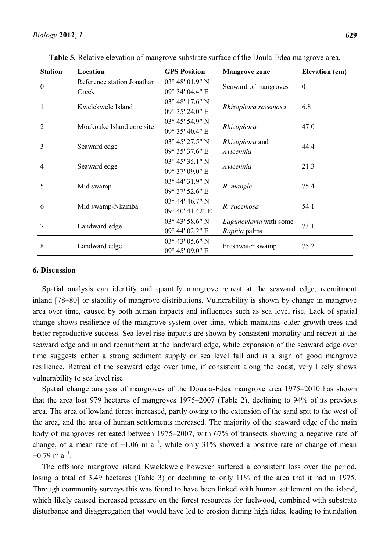| <b>Station</b>   | Location                   | <b>GPS Position</b>        | <b>Mangrove zone</b>   | <b>Elevation (cm)</b> |
|------------------|----------------------------|----------------------------|------------------------|-----------------------|
| $\boldsymbol{0}$ | Reference station Jonathan | 03° 48' 01.9" N            |                        | $\mathbf{0}$          |
|                  | Creek                      | 09° 34' 04.4" E            | Seaward of mangroves   |                       |
| 1                |                            | $03^{\circ}$ 48' 17.6" N   |                        | 6.8                   |
|                  | Kwelekwele Island          | 09° 35' 24.0" E            | Rhizophora racemosa    |                       |
| $\overline{2}$   | Moukouke Island core site  | 03° 45' 54.9" N            |                        | 47.0                  |
|                  |                            | 09° 35' 40.4" E            | Rhizophora             |                       |
| 3                | Seaward edge               | 03° 45' 27.5" N            | <i>Rhizophora</i> and  | 44.4                  |
|                  |                            | 09° 35' 37.6" E            | Avicennia              |                       |
| 4                | Seaward edge               | $03^{\circ}$ 45' 35.1" N   |                        | 21.3                  |
|                  |                            | 09° 37' 09.0" E            | Avicennia              |                       |
| 5                | Mid swamp                  | 03° 44' 31.9" N            | R. mangle              | 75.4                  |
|                  |                            | 09° 37' 52.6" E            |                        |                       |
| 6                | Mid swamp-Nkamba           | $03^{\circ}$ 44' 46.7" N   |                        | 54.1                  |
|                  |                            | 09° 40' 41.42" E           | R. racemosa            |                       |
| 7                |                            | $03^{\circ}$ 43' 58.6" N   | Laguncularia with some | 73.1                  |
|                  | Landward edge              | 09° 44' 02.2" E            | Raphia palms           |                       |
| 8                |                            | $03^{\circ}$ 43' $05.6"$ N |                        | 75.2                  |
|                  | Landward edge              | 09° 45' 09.0" E            | Freshwater swamp       |                       |

**Table 5.** Relative elevation of mangrove substrate surface of the Doula-Edea mangrove area.

#### **6. Discussion**

Spatial analysis can identify and quantify mangrove retreat at the seaward edge, recruitment inland [78-80] or stability of mangrove distributions. Vulnerability is shown by change in mangrove area over time, caused by both human impacts and influences such as sea level rise. Lack of spatial change shows resilience of the mangrove system over time, which maintains older-growth trees and better reproductive success. Sea level rise impacts are shown by consistent mortality and retreat at the seaward edge and inland recruitment at the landward edge, while expansion of the seaward edge over time suggests either a strong sediment supply or sea level fall and is a sign of good mangrove resilience. Retreat of the seaward edge over time, if consistent along the coast, very likely shows vulnerability to sea level rise.

Spatial change analysis of mangroves of the Douala-Edea mangrove area 1975–2010 has shown that the area lost 979 hectares of mangroves  $1975-2007$  (Table 2), declining to 94% of its previous area. The area of lowland forest increased, partly owing to the extension of the sand spit to the west of the area, and the area of human settlements increased. The majority of the seaward edge of the main body of mangroves retreated between 1975–2007, with 67% of transects showing a negative rate of change, of a mean rate of  $-1.06$  m a<sup>-1</sup>, while only 31% showed a positive rate of change of mean  $+0.79$  m a<sup>-1</sup>.

The offshore mangrove island Kwelekwele however suffered a consistent loss over the period, losing a total of 3.49 hectares (Table 3) or declining to only 11% of the area that it had in 1975. Through community surveys this was found to have been linked with human settlement on the island, which likely caused increased pressure on the forest resources for fuelwood, combined with substrate disturbance and disaggregation that would have led to erosion during high tides, leading to inundation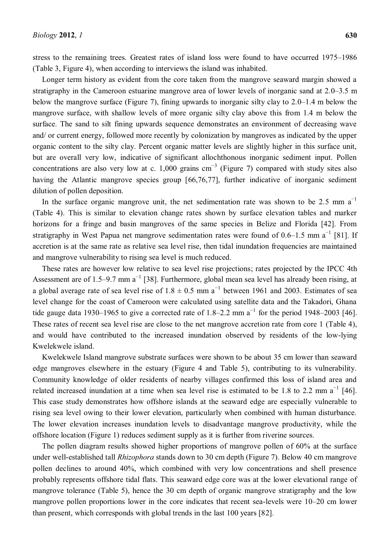stress to the remaining trees. Greatest rates of island loss were found to have occurred  $1975-1986$ (Table 3, Figure 4), when according to interviews the island was inhabited.

Longer term history as evident from the core taken from the mangrove seaward margin showed a stratigraphy in the Cameroon estuarine mangrove area of lower levels of inorganic sand at  $2.0-3.5$  m below the mangrove surface (Figure 7), fining upwards to inorganic silty clay to  $2.0-1.4$  m below the mangrove surface, with shallow levels of more organic silty clay above this from 1.4 m below the surface. The sand to silt fining upwards sequence demonstrates an environment of decreasing wave and/ or current energy, followed more recently by colonization by mangroves as indicated by the upper organic content to the silty clay. Percent organic matter levels are slightly higher in this surface unit, but are overall very low, indicative of significant allochthonous inorganic sediment input. Pollen concentrations are also very low at c. 1,000 grains  $cm^{-3}$  (Figure 7) compared with study sites also having the Atlantic mangrove species group [66,76,77], further indicative of inorganic sediment dilution of pollen deposition.

In the surface organic mangrove unit, the net sedimentation rate was shown to be 2.5 mm  $a^{-1}$ (Table 4). This is similar to elevation change rates shown by surface elevation tables and marker horizons for a fringe and basin mangroves of the same species in Belize and Florida [42]. From stratigraphy in West Papua net mangrove sedimentation rates were found of  $0.6-1.5$  mm a<sup>-1</sup> [81]. If accretion is at the same rate as relative sea level rise, then tidal inundation frequencies are maintained and mangrove vulnerability to rising sea level is much reduced.

These rates are however low relative to sea level rise projections; rates projected by the IPCC 4th Assessment are of 1.5–9.7 mm  $a^{-1}$  [38]. Furthermore, global mean sea level has already been rising, at a global average rate of sea level rise of  $1.8 \pm 0.5$  mm a<sup>-1</sup> between 1961 and 2003. Estimates of sea level change for the coast of Cameroon were calculated using satellite data and the Takadori, Ghana tide gauge data 1930–1965 to give a corrected rate of 1.8–2.2 mm  $a^{-1}$  for the period 1948–2003 [46]. These rates of recent sea level rise are close to the net mangrove accretion rate from core 1 (Table 4), and would have contributed to the increased inundation observed by residents of the low-lying Kwelekwele island.

Kwelekwele Island mangrove substrate surfaces were shown to be about 35 cm lower than seaward edge mangroves elsewhere in the estuary (Figure 4 and Table 5), contributing to its vulnerability. Community knowledge of older residents of nearby villages confirmed this loss of island area and related increased inundation at a time when sea level rise is estimated to be 1.8 to 2.2 mm  $a^{-1}$  [46]. This case study demonstrates how offshore islands at the seaward edge are especially vulnerable to rising sea level owing to their lower elevation, particularly when combined with human disturbance. The lower elevation increases inundation levels to disadvantage mangrove productivity, while the offshore location (Figure 1) reduces sediment supply as it is further from riverine sources.

The pollen diagram results showed higher proportions of mangrove pollen of 60% at the surface under well-established tall *Rhizophora* stands down to 30 cm depth (Figure 7). Below 40 cm mangrove pollen declines to around 40%, which combined with very low concentrations and shell presence probably represents offshore tidal flats. This seaward edge core was at the lower elevational range of mangrove tolerance (Table 5), hence the 30 cm depth of organic mangrove stratigraphy and the low mangrove pollen proportions lower in the core indicates that recent sea-levels were  $10-20$  cm lower than present, which corresponds with global trends in the last 100 years [82].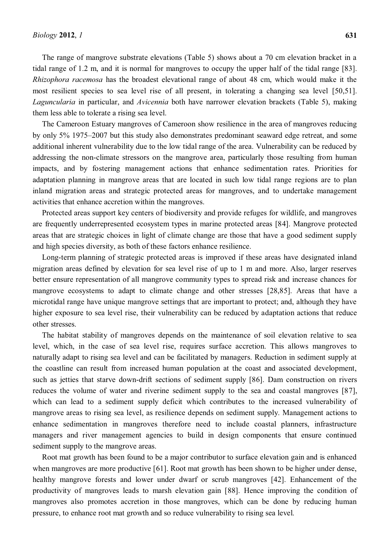The range of mangrove substrate elevations (Table 5) shows about a 70 cm elevation bracket in a tidal range of 1.2 m, and it is normal for mangroves to occupy the upper half of the tidal range [83]. *Rhizophora racemosa* has the broadest elevational range of about 48 cm, which would make it the most resilient species to sea level rise of all present, in tolerating a changing sea level [50,51]. *Laguncularia* in particular, and *Avicennia* both have narrower elevation brackets (Table 5), making them less able to tolerate a rising sea level.

The Cameroon Estuary mangroves of Cameroon show resilience in the area of mangroves reducing by only 5% 1975–2007 but this study also demonstrates predominant seaward edge retreat, and some additional inherent vulnerability due to the low tidal range of the area. Vulnerability can be reduced by addressing the non-climate stressors on the mangrove area, particularly those resulting from human impacts, and by fostering management actions that enhance sedimentation rates. Priorities for adaptation planning in mangrove areas that are located in such low tidal range regions are to plan inland migration areas and strategic protected areas for mangroves, and to undertake management activities that enhance accretion within the mangroves.

Protected areas support key centers of biodiversity and provide refuges for wildlife, and mangroves are frequently underrepresented ecosystem types in marine protected areas [84]. Mangrove protected areas that are strategic choices in light of climate change are those that have a good sediment supply and high species diversity, as both of these factors enhance resilience.

Long-term planning of strategic protected areas is improved if these areas have designated inland migration areas defined by elevation for sea level rise of up to 1 m and more. Also, larger reserves better ensure representation of all mangrove community types to spread risk and increase chances for mangrove ecosystems to adapt to climate change and other stresses [28,85]. Areas that have a microtidal range have unique mangrove settings that are important to protect; and, although they have higher exposure to sea level rise, their vulnerability can be reduced by adaptation actions that reduce other stresses.

The habitat stability of mangroves depends on the maintenance of soil elevation relative to sea level, which, in the case of sea level rise, requires surface accretion. This allows mangroves to naturally adapt to rising sea level and can be facilitated by managers. Reduction in sediment supply at the coastline can result from increased human population at the coast and associated development, such as jetties that starve down-drift sections of sediment supply [86]. Dam construction on rivers reduces the volume of water and riverine sediment supply to the sea and coastal mangroves [87], which can lead to a sediment supply deficit which contributes to the increased vulnerability of mangrove areas to rising sea level, as resilience depends on sediment supply. Management actions to enhance sedimentation in mangroves therefore need to include coastal planners, infrastructure managers and river management agencies to build in design components that ensure continued sediment supply to the mangrove areas.

Root mat growth has been found to be a major contributor to surface elevation gain and is enhanced when mangroves are more productive [61]. Root mat growth has been shown to be higher under dense, healthy mangrove forests and lower under dwarf or scrub mangroves [42]. Enhancement of the productivity of mangroves leads to marsh elevation gain [88]. Hence improving the condition of mangroves also promotes accretion in those mangroves, which can be done by reducing human pressure, to enhance root mat growth and so reduce vulnerability to rising sea level.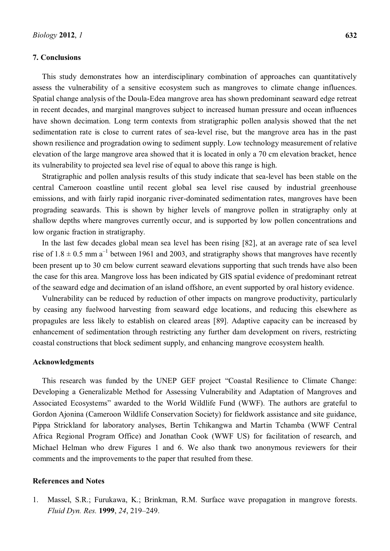# **7. Conclusions**

This study demonstrates how an interdisciplinary combination of approaches can quantitatively assess the vulnerability of a sensitive ecosystem such as mangroves to climate change influences. Spatial change analysis of the Doula-Edea mangrove area has shown predominant seaward edge retreat in recent decades, and marginal mangroves subject to increased human pressure and ocean influences have shown decimation. Long term contexts from stratigraphic pollen analysis showed that the net sedimentation rate is close to current rates of sea-level rise, but the mangrove area has in the past shown resilience and progradation owing to sediment supply. Low technology measurement of relative elevation of the large mangrove area showed that it is located in only a 70 cm elevation bracket, hence its vulnerability to projected sea level rise of equal to above this range is high.

Stratigraphic and pollen analysis results of this study indicate that sea-level has been stable on the central Cameroon coastline until recent global sea level rise caused by industrial greenhouse emissions, and with fairly rapid inorganic river-dominated sedimentation rates, mangroves have been prograding seawards. This is shown by higher levels of mangrove pollen in stratigraphy only at shallow depths where mangroves currently occur, and is supported by low pollen concentrations and low organic fraction in stratigraphy.

In the last few decades global mean sea level has been rising [82], at an average rate of sea level rise of  $1.8 \pm 0.5$  mm a<sup>-1</sup> between 1961 and 2003, and stratigraphy shows that mangroves have recently been present up to 30 cm below current seaward elevations supporting that such trends have also been the case for this area. Mangrove loss has been indicated by GIS spatial evidence of predominant retreat of the seaward edge and decimation of an island offshore, an event supported by oral history evidence.

Vulnerability can be reduced by reduction of other impacts on mangrove productivity, particularly by ceasing any fuelwood harvesting from seaward edge locations, and reducing this elsewhere as propagules are less likely to establish on cleared areas [89]. Adaptive capacity can be increased by enhancement of sedimentation through restricting any further dam development on rivers, restricting coastal constructions that block sediment supply, and enhancing mangrove ecosystem health.

## **Acknowledgments**

This research was funded by the UNEP GEF project "Coastal Resilience to Climate Change: Developing a Generalizable Method for Assessing Vulnerability and Adaptation of Mangroves and Associated Ecosystems" awarded to the World Wildlife Fund (WWF). The authors are grateful to Gordon Ajonina (Cameroon Wildlife Conservation Society) for fieldwork assistance and site guidance, Pippa Strickland for laboratory analyses, Bertin Tchikangwa and Martin Tchamba (WWF Central Africa Regional Program Office) and Jonathan Cook (WWF US) for facilitation of research, and Michael Helman who drew Figures 1 and 6. We also thank two anonymous reviewers for their comments and the improvements to the paper that resulted from these.

### **References and Notes**

1. Massel, S.R.; Furukawa, K.; Brinkman, R.M. Surface wave propagation in mangrove forests. *Fluid Dyn. Res.* **1999**, 24, 219-249.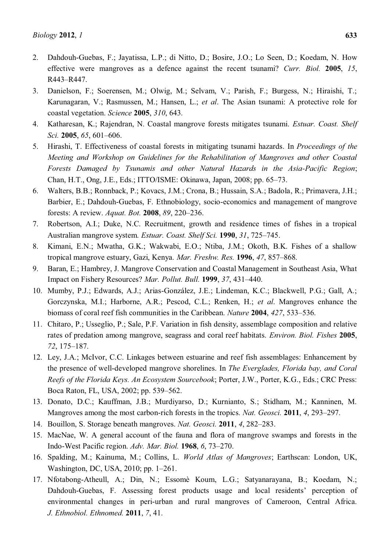- 2. Dahdouh-Guebas, F.; Jayatissa, L.P.; di Nitto, D.; Bosire, J.O.; Lo Seen, D.; Koedam, N. How effective were mangroves as a defence against the recent tsunami? *Curr. Biol.* **2005**, *15*, R443-R447.
- 3. Danielson, F.; Soerensen, M.; Olwig, M.; Selvam, V.; Parish, F.; Burgess, N.; Hiraishi, T.; Karunagaran, V.; Rasmussen, M.; Hansen, L.; *et al*. The Asian tsunami: A protective role for coastal vegetation. *Science* **2005**, *310*, 643.
- 4. Katharesan, K.; Rajendran, N. Coastal mangrove forests mitigates tsunami. *Estuar. Coast. Shelf Sci.* **2005**, *65*, *601*–*606*.
- 5. Hirashi, T. Effectiveness of coastal forests in mitigating tsunami hazards. In *Proceedings of the Meeting and Workshop on Guidelines for the Rehabilitation of Mangroves and other Coastal Forests Damaged by Tsunamis and other Natural Hazards in the Asia-Pacific Region*; Chan, H.T., Ong, J.E., Eds.; ITTO/ISME: Okinawa, Japan, 2008; pp. 65–73.
- 6. Walters, B.B.; Ronnback, P.; Kovacs, J.M.; Crona, B.; Hussain, S.A.; Badola, R.; Primavera, J.H.; Barbier, E.; Dahdouh-Guebas, F. Ethnobiology, socio-economics and management of mangrove forests: A review. *Aquat. Bot.* **2008**, 89, 220-236.
- 7. Robertson, A.I.; Duke, N.C. Recruitment, growth and residence times of fishes in a tropical Australian mangrove system. *Estuar. Coast. Shelf Sci.* **1990**, 31, 725–745.
- 8. Kimani, E.N.; Mwatha, G.K.; Wakwabi, E.O.; Ntiba, J.M.; Okoth, B.K. Fishes of a shallow tropical mangrove estuary, Gazi, Kenya. *Mar. Freshw. Res.* 1996, 47, 857-868.
- 9. Baran, E.; Hambrey, J. Mangrove Conservation and Coastal Management in Southeast Asia, What Impact on Fishery Resources? *Mar. Pollut. Bull.* **1999**, *37*, 431±440.
- 10. Mumby, P.J.; Edwards, A.J.; Arias-González, J.E.; Lindeman, K.C.; Blackwell, P.G.; Gall, A.; Gorczynska, M.I.; Harborne, A.R.; Pescod, C.L.; Renken, H.; *et al*. Mangroves enhance the biomass of coral reef fish communities in the Caribbean. *Nature* 2004, 427, 533–536.
- 11. Chitaro, P.; Usseglio, P.; Sale, P.F. Variation in fish density, assemblage composition and relative rates of predation among mangrove, seagrass and coral reef habitats. *Environ. Biol. Fishes* **2005**, 72, 175-187.
- 12. Ley, J.A.; McIvor, C.C. Linkages between estuarine and reef fish assemblages: Enhancement by the presence of well-developed mangrove shorelines. In *The Everglades, Florida bay, and Coral Reefs of the Florida Keys. An Ecosystem Sourcebook*; Porter, J.W., Porter, K.G., Eds.; CRC Press: Boca Raton, FL, USA, 2002; pp. 539–562.
- 13. Donato, D.C.; Kauffman, J.B.; Murdiyarso, D.; Kurnianto, S.; Stidham, M.; Kanninen, M. Mangroves among the most carbon-rich forests in the tropics. *Nat. Geosci.* **2011**, 4, 293–297.
- 14. Bouillon, S. Storage beneath mangroves. *Nat. Geosci.* **2011**, 4, 282–283.
- 15. MacNae, W. A general account of the fauna and flora of mangrove swamps and forests in the Indo-West Pacific region. *Adv. Mar. Biol.* **1968**, *6*, 73–270.
- 16. Spalding, M.; Kainuma, M.; Collins, L. *World Atlas of Mangroves*; Earthscan: London, UK, Washington, DC, USA, 2010; pp. 1-261.
- 17. Nfotabong-Atheull, A.; Din, N.; Essomè Koum, L.G.; Satyanarayana, B.; Koedam, N.; Dahdouh-Guebas, F. Assessing forest products usage and local residents' perception of environmental changes in peri-urban and rural mangroves of Cameroon, Central Africa. *J. Ethnobiol. Ethnomed.* **2011**, *7*, 41.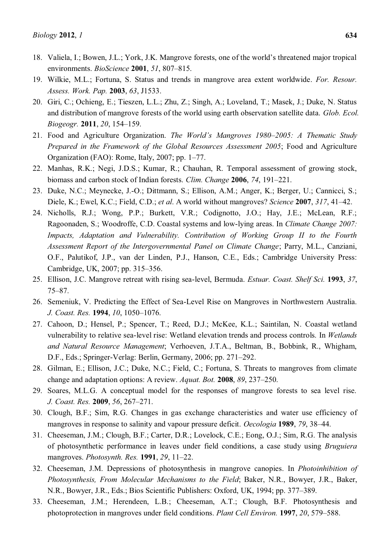- 19. Wilkie, M.L.; Fortuna, S. Status and trends in mangrove area extent worldwide. *For. Resour. Assess. Work. Pap.* **2003**, *63*, J1533.
- 20. Giri, C.; Ochieng, E.; Tieszen, L.L.; Zhu, Z.; Singh, A.; Loveland, T.; Masek, J.; Duke, N. Status and distribution of mangrove forests of the world using earth observation satellite data. *Glob. Ecol. Biogeogr.* **2011**, *20*, 154-159.
- 21. Food and Agriculture Organization. *The World's Mangroves 1980–2005: A Thematic Study Prepared in the Framework of the Global Resources Assessment 2005*; Food and Agriculture Organization (FAO): Rome, Italy,  $2007$ ; pp. 1–77.
- 22. Manhas, R.K.; Negi, J.D.S.; Kumar, R.; Chauhan, R. Temporal assessment of growing stock, biomass and carbon stock of Indian forests. *Clim. Change* 2006, 74, 191-221.
- 23. Duke, N.C.; Meynecke, J.-O.; Dittmann, S.; Ellison, A.M.; Anger, K.; Berger, U.; Cannicci, S.; Diele, K.; Ewel, K.C.; Field, C.D.; *et al.* A world without mangroves? *Science* 2007, 317, 41–42.
- 24. Nicholls, R.J.; Wong, P.P.; Burkett, V.R.; Codignotto, J.O.; Hay, J.E.; McLean, R.F.; Ragoonaden, S.; Woodroffe, C.D. Coastal systems and low-lying areas. In *Climate Change 2007: Impacts, Adaptation and Vulnerability. Contribution of Working Group II to the Fourth Assessment Report of the Intergovernmental Panel on Climate Change*; Parry, M.L., Canziani, O.F., Palutikof, J.P., van der Linden, P.J., Hanson, C.E., Eds.; Cambridge University Press: Cambridge, UK, 2007; pp. 315-356.
- 25. Ellison, J.C. Mangrove retreat with rising sea-level, Bermuda. *Estuar. Coast. Shelf Sci.* **1993**, *37*,  $75 - 87.$
- 26. Semeniuk, V. Predicting the Effect of Sea-Level Rise on Mangroves in Northwestern Australia. *J. Coast. Res.* **1994**, *10*, 1050-1076.
- 27. Cahoon, D.; Hensel, P.; Spencer, T.; Reed, D.J.; McKee, K.L.; Saintilan, N. Coastal wetland vulnerability to relative sea-level rise: Wetland elevation trends and process controls. In *Wetlands and Natural Resource Management*; Verhoeven, J.T.A., Beltman, B., Bobbink, R., Whigham, D.F., Eds.; Springer-Verlag: Berlin, Germany, 2006; pp. 271–292.
- 28. Gilman, E.; Ellison, J.C.; Duke, N.C.; Field, C.; Fortuna, S. Threats to mangroves from climate change and adaptation options: A review. *Aquat. Bot.* **2008**, 89, 237–250.
- 29. Soares, M.L.G. A conceptual model for the responses of mangrove forests to sea level rise. *J. Coast. Res.* 2009, 56, 267-271.
- 30. Clough, B.F.; Sim, R.G. Changes in gas exchange characteristics and water use efficiency of mangroves in response to salinity and vapour pressure deficit. *Oecologia* 1989, 79, 38–44.
- 31. Cheeseman, J.M.; Clough, B.F.; Carter, D.R.; Lovelock, C.E.; Eong, O.J.; Sim, R.G. The analysis of photosynthetic performance in leaves under field conditions, a case study using *Bruguiera* mangroves. *Photosynth. Res.* **1991**, 29, 11–22.
- 32. Cheeseman, J.M. Depressions of photosynthesis in mangrove canopies. In *Photoinhibition of Photosynthesis, From Molecular Mechanisms to the Field*; Baker, N.R., Bowyer, J.R., Baker, N.R., Bowyer, J.R., Eds.; Bios Scientific Publishers: Oxford, UK, 1994; pp. 377–389.
- 33. Cheeseman, J.M.; Herendeen, L.B.; Cheeseman, A.T.; Clough, B.F. Photosynthesis and photoprotection in mangroves under field conditions. *Plant Cell Environ*. **1997**, 20, 579–588.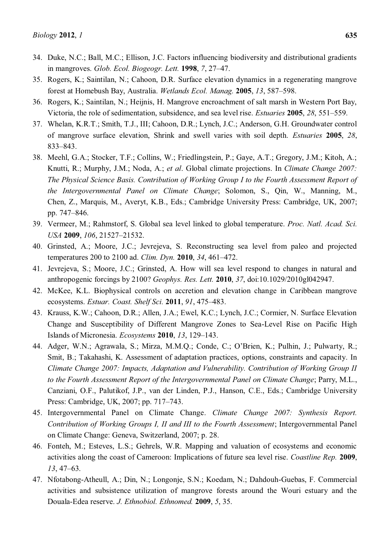- 34. Duke, N.C.; Ball, M.C.; Ellison, J.C. Factors influencing biodiversity and distributional gradients in mangroves. *Glob. Ecol. Biogeogr. Lett.* **1998**, *7*, 27±47.
- 35. Rogers, K.; Saintilan, N.; Cahoon, D.R. Surface elevation dynamics in a regenerating mangrove forest at Homebush Bay, Australia. *Wetlands Ecol. Manag.* **2005**, *13*, 587–598.
- 36. Rogers, K.; Saintilan, N.; Heijnis, H. Mangrove encroachment of salt marsh in Western Port Bay, Victoria, the role of sedimentation, subsidence, and sea level rise. *Estuaries* 2005, 28, 551–559.
- 37. Whelan, K.R.T.; Smith, T.J., III; Cahoon, D.R.; Lynch, J.C.; Anderson, G.H. Groundwater control of mangrove surface elevation, Shrink and swell varies with soil depth. *Estuaries* **2005**, *28*, 833±843.
- 38. Meehl, G.A.; Stocker, T.F.; Collins, W.; Friedlingstein, P.; Gaye, A.T.; Gregory, J.M.; Kitoh, A.; Knutti, R.; Murphy, J.M.; Noda, A.; *et al*. Global climate projections. In *Climate Change 2007: The Physical Science Basis. Contribution of Working Group I to the Fourth Assessment Report of the Intergovernmental Panel on Climate Change*; Solomon, S., Qin, W., Manning, M., Chen, Z., Marquis, M., Averyt, K.B., Eds.; Cambridge University Press: Cambridge, UK, 2007; pp. 747-846.
- 39. Vermeer, M.; Rahmstorf, S. Global sea level linked to global temperature. *Proc. Natl. Acad. Sci. USA* **2009**, *106*, 21527-21532.
- 40. Grinsted, A.; Moore, J.C.; Jevrejeva, S. Reconstructing sea level from paleo and projected temperatures 200 to 2100 ad. *Clim. Dyn.* **2010**, 34, 461–472.
- 41. Jevrejeva, S.; Moore, J.C.; Grinsted, A. How will sea level respond to changes in natural and anthropogenic forcings by 2100? *Geophys. Res. Lett.* **2010**, *37*, doi:10.1029/2010gl042947.
- 42. McKee, K.L. Biophysical controls on accretion and elevation change in Caribbean mangrove ecosystems. *Estuar. Coast. Shelf Sci.* 2011, 91, 475-483.
- 43. Krauss, K.W.; Cahoon, D.R.; Allen, J.A.; Ewel, K.C.; Lynch, J.C.; Cormier, N. Surface Elevation Change and Susceptibility of Different Mangrove Zones to Sea-Level Rise on Pacific High **Islands of Micronesia.** *Ecosystems* **2010**, *13*, 129–143.
- 44. Adger, W.N.; Agrawala, S.; Mirza, M.M.Q.; Conde, C.; O'Brien, K.; Pulhin, J.; Pulwarty, R.; Smit, B.; Takahashi, K. Assessment of adaptation practices, options, constraints and capacity. In *Climate Change 2007: Impacts, Adaptation and Vulnerability. Contribution of Working Group II to the Fourth Assessment Report of the Intergovernmental Panel on Climate Change*; Parry, M.L., Canziani, O.F., Palutikof, J.P., van der Linden, P.J., Hanson, C.E., Eds.; Cambridge University Press: Cambridge, UK, 2007; pp. 717-743.
- 45. Intergovernmental Panel on Climate Change. *Climate Change 2007: Synthesis Report. Contribution of Working Groups I, II and III to the Fourth Assessment*; Intergovernmental Panel on Climate Change: Geneva, Switzerland, 2007; p. 28.
- 46. Fonteh, M.; Esteves, L.S.; Gehrels, W.R. Mapping and valuation of ecosystems and economic activities along the coast of Cameroon: Implications of future sea level rise. *Coastline Rep.* **2009**, *13*, 47–63.
- 47. Nfotabong-Atheull, A.; Din, N.; Longonje, S.N.; Koedam, N.; Dahdouh-Guebas, F. Commercial activities and subsistence utilization of mangrove forests around the Wouri estuary and the Douala-Edea reserve. *J. Ethnobiol. Ethnomed.* **2009**, *5*, 35.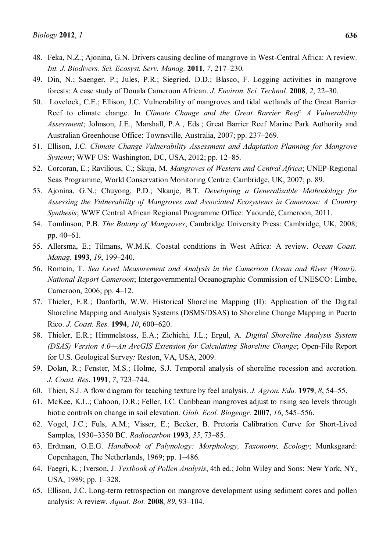- 49. Din, N.; Saenger, P.; Jules, P.R.; Siegried, D.D.; Blasco, F. Logging activities in mangrove forests: A case study of Douala Cameroon African. *J. Environ. Sci. Technol.* **2008**, 2, 22-30.
- 50. Lovelock, C.E.; Ellison, J.C. Vulnerability of mangroves and tidal wetlands of the Great Barrier Reef to climate change. In *Climate Change and the Great Barrier Reef: A Vulnerability Assessment*; Johnson, J.E., Marshall, P.A., Eds.; Great Barrier Reef Marine Park Authority and Australian Greenhouse Office: Townsville, Australia, 2007; pp. 237–269.
- 51. Ellison, J.C. *Climate Change Vulnerability Assessment and Adaptation Planning for Mangrove Systems*; WWF US: Washington, DC, USA, 2012; pp. 12–85.
- 52. Corcoran, E.; Ravilious, C.; Skuja, M. *Mangroves of Western and Central Africa*; UNEP-Regional Seas Programme, World Conservation Monitoring Centre: Cambridge, UK, 2007; p. 89.
- 53. Ajonina, G.N.; Chuyong, P.D.; Nkanje, B.T. *Developing a Generalizable Methodology for Assessing the Vulnerability of Mangroves and Associated Ecosystems in Cameroon: A Country Synthesis*; WWF Central African Regional Programme Office: Yaoundé, Cameroon, 2011.
- 54. Tomlinson, P.B. *The Botany of Mangroves*; Cambridge University Press: Cambridge, UK, 2008; pp.  $40-61$ .
- 55. Allersma, E.; Tilmans, W.M.K. Coastal conditions in West Africa: A review. *Ocean Coast. Manag.* **1993**, *19*, 199-240.
- 56. Romain, T. *Sea Level Measurement and Analysis in the Cameroon Ocean and River (Wouri). National Report Cameroon*; Intergovernmental Oceanographic Commission of UNESCO: Limbe, Cameroon, 2006; pp.  $4-12$ .
- 57. Thieler, E.R.; Danforth, W.W. Historical Shoreline Mapping (II): Application of the Digital Shoreline Mapping and Analysis Systems (DSMS/DSAS) to Shoreline Change Mapping in Puerto Rico. *J. Coast. Res.* **1994**, *10*, 600–620.
- 58. Thieler, E.R.; Himmelstoss, E.A.; Zichichi, J.L.; Ergul, A. *Digital Shoreline Analysis System (DSAS) Version 4.0—An ArcGIS Extension for Calculating Shoreline Change*; Open-File Report for U.S. Geological Survey*:* Reston, VA, USA, 2009.
- 59. Dolan, R.; Fenster, M.S.; Holme, S.J. Temporal analysis of shoreline recession and accretion. *J. Coast. Res.* **1991**, 7, 723-744.
- 60. Thien, S.J. A flow diagram for teaching texture by feel analysis. *J. Agron. Edu.* **1979**, *8*, 54–55.
- 61. McKee, K.L.; Cahoon, D.R.; Feller, I.C. Caribbean mangroves adjust to rising sea levels through biotic controls on change in soil elevation. *Glob. Ecol. Biogeogr.* 2007, 16, 545–556.
- 62. Vogel, J.C.; Fuls, A.M.; Visser, E.; Becker, B. Pretoria Calibration Curve for Short-Lived Samples, 1930±3350 BC. *Radiocarbon* **1993**, *35*, 73±85.
- 63. Erdtman, O.E.G. *Handbook of Palynology: Morphology, Taxonomy, Ecology*; Munksgaard: Copenhagen, The Netherlands, 1969; pp. 1–486.
- 64. Faegri, K.; Iverson, J. *Textbook of Pollen Analysis*, 4th ed.; John Wiley and Sons: New York, NY, USA, 1989; pp. 1–328.
- 65. Ellison, J.C. Long-term retrospection on mangrove development using sediment cores and pollen analysis: A review. *Aquat. Bot.* **2008**, *89*, 93–104.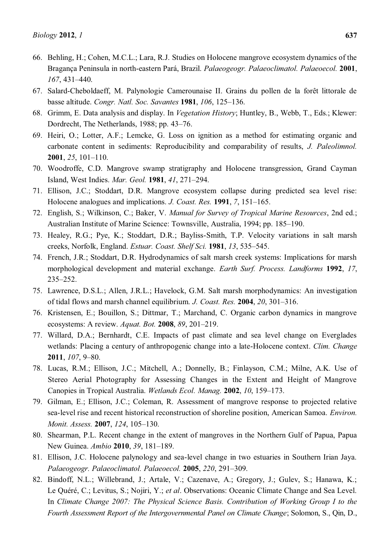- 66. Behling, H.; Cohen, M.C.L.; Lara, R.J. Studies on Holocene mangrove ecosystem dynamics of the Bragança Peninsula in north-eastern Pará, Brazil. *Palaeogeogr. Palaeoclimatol. Palaeoecol.* **2001**, *167*, 431–440.
- 67. Salard-Cheboldaeff, M. Palynologie Camerounaise II. Grains du pollen de la forêt littorale de basse altitude. *Congr. Natl. Soc. Savantes* 1981, 106, 125-136.
- 68. Grimm, E. Data analysis and display. In *Vegetation History*; Huntley, B., Webb, T., Eds.; Klewer: Dordrecht, The Netherlands, 1988; pp. 43–76.
- 69. Heiri, O.; Lotter, A.F.; Lemcke, G. Loss on ignition as a method for estimating organic and carbonate content in sediments: Reproducibility and comparability of results, *J. Paleolimnol.* **2001**, 25, 101-110.
- 70. Woodroffe, C.D. Mangrove swamp stratigraphy and Holocene transgression, Grand Cayman Island, West Indies. *Mar. Geol.* **1981**, *41*, 271-294.
- 71. Ellison, J.C.; Stoddart, D.R. Mangrove ecosystem collapse during predicted sea level rise: Holocene analogues and implications. *J. Coast. Res.* **1991**, 7, 151–165.
- 72. English, S.; Wilkinson, C.; Baker, V. *Manual for Survey of Tropical Marine Resources*, 2nd ed.; Australian Institute of Marine Science: Townsville, Australia, 1994; pp. 185–190.
- 73. Healey, R.G.; Pye, K.; Stoddart, D.R.; Bayliss-Smith, T.P. Velocity variations in salt marsh creeks, Norfolk, England. *Estuar. Coast. Shelf Sci.* **1981**, *13*, 535–545.
- 74. French, J.R.; Stoddart, D.R. Hydrodynamics of salt marsh creek systems: Implications for marsh morphological development and material exchange. *Earth Surf. Process. Landforms* **1992**, *17*, 235±252.
- 75. Lawrence, D.S.L.; Allen, J.R.L.; Havelock, G.M. Salt marsh morphodynamics: An investigation of tidal flows and marsh channel equilibrium. *J. Coast. Res.* **2004**, *20*, 301-316.
- 76. Kristensen, E.; Bouillon, S.; Dittmar, T.; Marchand, C. Organic carbon dynamics in mangrove ecosystems: A review. *Aquat. Bot.* **2008**, *89*, 201-219.
- 77. Willard, D.A.; Bernhardt, C.E. Impacts of past climate and sea level change on Everglades wetlands: Placing a century of anthropogenic change into a late-Holocene context. *Clim. Change*  **2011**, *107*, 9-80.
- 78. Lucas, R.M.; Ellison, J.C.; Mitchell, A.; Donnelly, B.; Finlayson, C.M.; Milne, A.K. Use of Stereo Aerial Photography for Assessing Changes in the Extent and Height of Mangrove Canopies in Tropical Australia. *Wetlands Ecol. Manag.* **2002**, 10, 159–173.
- 79. Gilman, E.; Ellison, J.C.; Coleman, R. Assessment of mangrove response to projected relative sea-level rise and recent historical reconstruction of shoreline position, American Samoa. *Environ. Monit. Assess.* **2007**, *124*, 105-130.
- 80. Shearman, P.L. Recent change in the extent of mangroves in the Northern Gulf of Papua, Papua New Guinea. *Ambio* **2010**, 39, 181–189.
- 81. Ellison, J.C. Holocene palynology and sea-level change in two estuaries in Southern Irian Jaya. *Palaeogeogr. Palaeoclimatol. Palaeoecol.* **2005**, *220*, 291-309.
- 82. Bindoff, N.L.; Willebrand, J.; Artale, V.; Cazenave, A.; Gregory, J.; Gulev, S.; Hanawa, K.; Le Quéré, C.; Levitus, S.; Nojiri, Y.; *et al*. Observations: Oceanic Climate Change and Sea Level. In *Climate Change 2007: The Physical Science Basis. Contribution of Working Group I to the Fourth Assessment Report of the Intergovernmental Panel on Climate Change*; Solomon, S., Qin, D.,